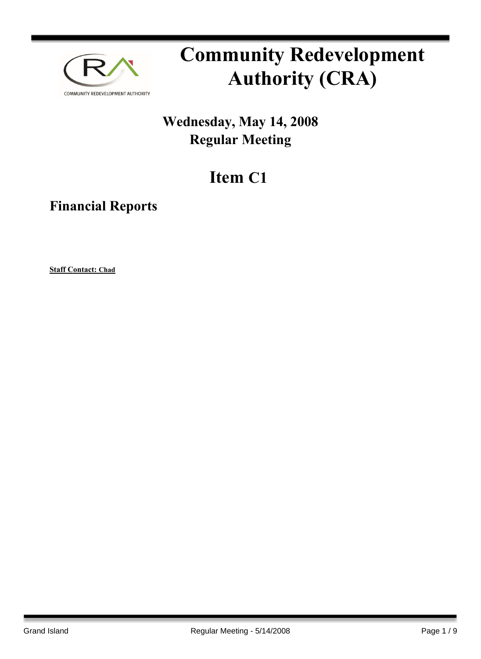

# **Community Redevelopment Authority (CRA)**

### **Wednesday, May 14, 2008 Regular Meeting**

## **Item C1**

**Financial Reports**

**Staff Contact: Chad**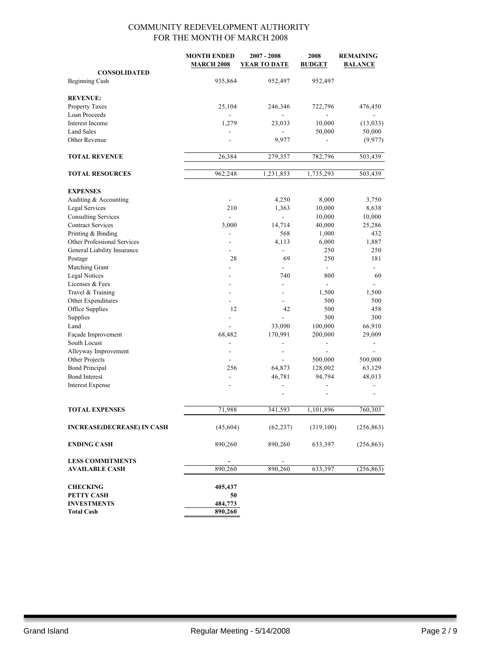|                                               | <b>MONTH ENDED</b> | 2007 - 2008              | 2008                     | <b>REMAINING</b> |
|-----------------------------------------------|--------------------|--------------------------|--------------------------|------------------|
|                                               | <b>MARCH 2008</b>  | <b>YEAR TO DATE</b>      | <b>BUDGET</b>            | <b>BALANCE</b>   |
| <b>CONSOLIDATED</b>                           |                    |                          |                          |                  |
| <b>Beginning Cash</b>                         | 935,864            | 952,497                  | 952,497                  |                  |
| <b>REVENUE:</b>                               |                    |                          |                          |                  |
| Property Taxes                                | 25,104             | 246,346                  | 722,796                  | 476,450          |
| Loan Proceeds                                 |                    |                          |                          |                  |
| Interest Income                               | 1,279              | 23,033                   | 10,000                   | (13, 033)        |
| <b>Land Sales</b>                             |                    |                          | 50,000                   | 50,000           |
| Other Revenue                                 |                    | 9,977                    |                          | (9,977)          |
| <b>TOTAL REVENUE</b>                          |                    |                          |                          |                  |
|                                               | 26,384             | 279,357                  | 782,796                  | 503,439          |
| <b>TOTAL RESOURCES</b>                        | 962,248            | 1,231,853                | 1,735,293                | 503,439          |
| <b>EXPENSES</b>                               |                    |                          |                          |                  |
| Auditing & Accounting                         | $\blacksquare$     | 4,250                    | 8,000                    | 3,750            |
| <b>Legal Services</b>                         | 210                | 1,363                    | 10,000                   | 8,638            |
| <b>Consulting Services</b>                    | $\blacksquare$     | $\blacksquare$           | 10,000                   | 10,000           |
| <b>Contract Services</b>                      | 3,000              | 14,714                   | 40,000                   | 25,286           |
| Printing & Binding                            |                    | 568                      | 1,000                    | 432              |
| Other Professional Services                   |                    | 4,113                    | 6,000                    | 1,887            |
| General Liability Insurance                   |                    |                          | 250                      | 250              |
| Postage                                       | 28                 | 69                       | 250                      | 181              |
| Matching Grant                                |                    |                          | ÷,                       |                  |
| <b>Legal Notices</b>                          |                    | 740                      | 800                      | 60               |
| Licenses & Fees                               |                    |                          |                          |                  |
| Travel & Training                             |                    |                          | 1,500                    | 1,500            |
| Other Expenditures                            |                    |                          | 500                      | 500              |
| Office Supplies                               | 12                 | 42                       | 500                      | 458              |
| Supplies                                      | $\overline{a}$     | L.                       | 300                      | 300              |
| Land                                          |                    | 33,090                   | 100,000                  | 66,910           |
| Façade Improvement                            | 68,482             | 170,991                  | 200,000                  | 29,009           |
| South Locust                                  | $\overline{a}$     | $\overline{\phantom{0}}$ | $\overline{\phantom{a}}$ | -                |
| Alleyway Improvement                          | $\overline{a}$     | $\overline{\phantom{a}}$ | $\overline{\phantom{a}}$ |                  |
| Other Projects                                |                    |                          | 500,000                  | 500,000          |
| <b>Bond Principal</b><br><b>Bond Interest</b> | 256<br>٠           | 64,873                   | 128,002                  | 63,129           |
| <b>Interest Expense</b>                       | ÷                  | 46,781                   | 94,794                   | 48,013           |
|                                               |                    |                          |                          |                  |
| <b>TOTAL EXPENSES</b>                         | 71,988             | 341,593                  | 1,101,896                | 760,303          |
|                                               |                    |                          |                          |                  |
| <b>INCREASE(DECREASE) IN CASH</b>             | (45, 604)          | (62, 237)                | (319,100)                | (256, 863)       |
| <b>ENDING CASH</b>                            | 890,260            | 890,260                  | 633,397                  | (256, 863)       |
| <b>LESS COMMITMENTS</b>                       |                    |                          |                          |                  |
| <b>AVAILABLE CASH</b>                         | 890,260            | 890,260                  | 633,397                  | (256, 863)       |
| <b>CHECKING</b>                               | 405,437            |                          |                          |                  |
| PETTY CASH                                    | 50                 |                          |                          |                  |
| <b>INVESTMENTS</b>                            | 484,773            |                          |                          |                  |
| <b>Total Cash</b>                             | 890,260            |                          |                          |                  |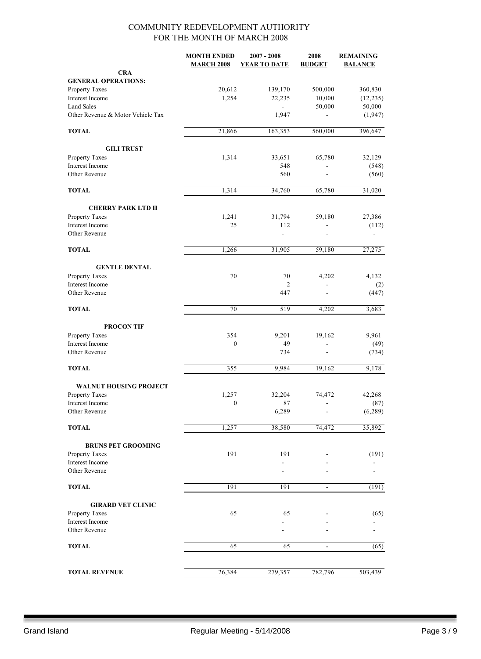|                                             | <b>MONTH ENDED</b><br><b>MARCH 2008</b> | $2007 - 2008$<br><b>YEAR TO DATE</b> | 2008<br><b>BUDGET</b>    | <b>REMAINING</b><br><b>BALANCE</b> |
|---------------------------------------------|-----------------------------------------|--------------------------------------|--------------------------|------------------------------------|
| <b>CRA</b>                                  |                                         |                                      |                          |                                    |
| <b>GENERAL OPERATIONS:</b>                  |                                         |                                      |                          |                                    |
| Property Taxes                              | 20,612                                  | 139,170                              | 500,000                  | 360,830                            |
| Interest Income<br><b>Land Sales</b>        | 1,254                                   | 22,235                               | 10,000<br>50,000         | (12, 235)<br>50,000                |
| Other Revenue & Motor Vehicle Tax           |                                         | 1,947                                |                          | (1, 947)                           |
| <b>TOTAL</b>                                | 21,866                                  | 163,353                              | 560,000                  | 396,647                            |
| <b>GILI TRUST</b>                           |                                         |                                      |                          |                                    |
| Property Taxes                              | 1,314                                   | 33,651                               | 65,780                   | 32,129                             |
| Interest Income                             |                                         | 548                                  |                          | (548)                              |
| Other Revenue                               |                                         | 560                                  |                          | (560)                              |
| <b>TOTAL</b>                                | 1,314                                   | 34,760                               | 65,780                   | 31,020                             |
| <b>CHERRY PARK LTD II</b>                   |                                         |                                      |                          |                                    |
| Property Taxes                              | 1,241                                   | 31,794                               | 59,180                   | 27,386                             |
| Interest Income<br>Other Revenue            | 25                                      | 112<br>$\blacksquare$                | $\overline{a}$           | (112)                              |
| <b>TOTAL</b>                                | 1,266                                   | 31,905                               | 59,180                   | 27,275                             |
| <b>GENTLE DENTAL</b>                        |                                         |                                      |                          |                                    |
| Property Taxes                              | 70                                      | 70                                   | 4,202                    | 4,132                              |
| Interest Income                             |                                         | $\overline{2}$                       |                          | (2)                                |
| Other Revenue                               |                                         | 447                                  |                          | (447)                              |
| <b>TOTAL</b>                                | 70                                      | 519                                  | 4,202                    | 3,683                              |
| <b>PROCON TIF</b>                           |                                         |                                      |                          |                                    |
| Property Taxes                              | 354                                     | 9,201                                | 19,162                   | 9,961                              |
| Interest Income                             | $\boldsymbol{0}$                        | 49                                   | $\overline{a}$           | (49)                               |
| Other Revenue                               |                                         | 734                                  | $\frac{1}{2}$            | (734)                              |
| <b>TOTAL</b>                                | 355                                     | 9,984                                | 19,162                   | 9,178                              |
| <b>WALNUT HOUSING PROJECT</b>               |                                         |                                      |                          |                                    |
| Property Taxes                              | 1,257                                   | 32,204                               | 74,472                   | 42,268                             |
| Interest Income<br>Other Revenue            | $\boldsymbol{0}$                        | 87<br>6,289                          |                          | (87)<br>(6, 289)                   |
| <b>TOTAL</b>                                | 1,257                                   | 38,580                               | 74,472                   | 35,892                             |
|                                             |                                         |                                      |                          |                                    |
| <b>BRUNS PET GROOMING</b><br>Property Taxes | 191                                     | 191                                  |                          | (191)                              |
| Interest Income                             |                                         |                                      |                          |                                    |
| Other Revenue                               |                                         |                                      |                          |                                    |
| <b>TOTAL</b>                                | 191                                     | 191                                  | $\overline{\phantom{0}}$ | (191)                              |
| <b>GIRARD VET CLINIC</b>                    |                                         |                                      |                          |                                    |
| Property Taxes                              | 65                                      | 65                                   |                          | (65)                               |
| Interest Income                             |                                         |                                      |                          |                                    |
| Other Revenue                               |                                         |                                      |                          |                                    |
| <b>TOTAL</b>                                | 65                                      | 65                                   | $\overline{\phantom{0}}$ | (65)                               |
|                                             |                                         |                                      |                          |                                    |
| <b>TOTAL REVENUE</b>                        | 26,384                                  | 279,357                              | 782,796                  | 503,439                            |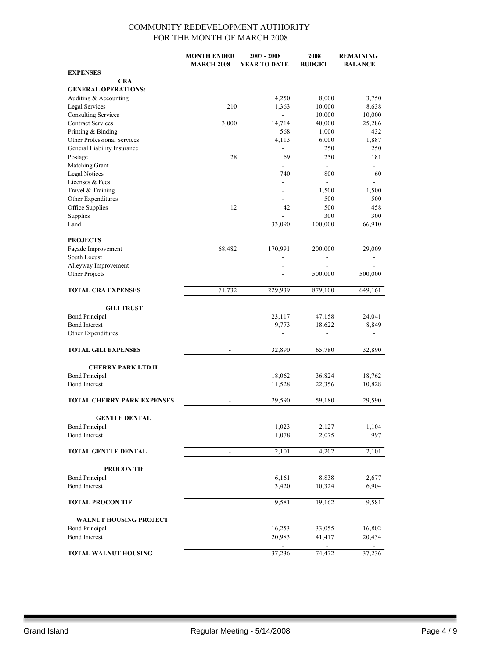|                               | <b>MONTH ENDED</b>       | 2007 - 2008    | 2008           | <b>REMAINING</b>         |
|-------------------------------|--------------------------|----------------|----------------|--------------------------|
|                               | <b>MARCH 2008</b>        | YEAR TO DATE   | <b>BUDGET</b>  | <b>BALANCE</b>           |
| <b>EXPENSES</b>               |                          |                |                |                          |
| <b>CRA</b>                    |                          |                |                |                          |
| <b>GENERAL OPERATIONS:</b>    |                          |                |                |                          |
| Auditing & Accounting         |                          | 4,250          | 8,000          | 3,750                    |
| <b>Legal Services</b>         | 210                      | 1,363          | 10,000         | 8,638                    |
| <b>Consulting Services</b>    |                          | $\blacksquare$ | 10,000         | 10,000                   |
| <b>Contract Services</b>      | 3,000                    | 14,714         | 40,000         | 25,286                   |
| Printing & Binding            |                          | 568            | 1,000          | 432                      |
| Other Professional Services   |                          | 4,113          | 6,000          | 1,887                    |
| General Liability Insurance   |                          |                | 250            | 250                      |
| Postage                       | 28                       | 69             | 250            | 181                      |
| Matching Grant                |                          |                | $\blacksquare$ |                          |
| Legal Notices                 |                          | 740            | 800            | 60                       |
| Licenses & Fees               |                          | $\overline{a}$ | ÷,             |                          |
| Travel & Training             |                          | $\overline{a}$ | 1,500          | 1,500                    |
| Other Expenditures            |                          |                | 500            | 500                      |
| Office Supplies               | 12                       | 42             | 500            | 458                      |
| Supplies                      |                          |                | 300            | 300                      |
| Land                          |                          | 33,090         | 100,000        | 66,910                   |
|                               |                          |                |                |                          |
| <b>PROJECTS</b>               |                          |                |                |                          |
| Façade Improvement            | 68,482                   | 170,991        | 200,000        | 29,009                   |
| South Locust                  |                          |                |                |                          |
| Alleyway Improvement          |                          |                |                |                          |
|                               |                          |                |                |                          |
| Other Projects                |                          |                | 500,000        | 500,000                  |
| <b>TOTAL CRA EXPENSES</b>     | 71,732                   | 229,939        | 879,100        | 649,161                  |
|                               |                          |                |                |                          |
|                               |                          |                |                |                          |
| <b>GILI TRUST</b>             |                          |                |                |                          |
| <b>Bond Principal</b>         |                          | 23,117         | 47,158         | 24,041                   |
| <b>Bond Interest</b>          |                          | 9,773          | 18,622         | 8,849                    |
| Other Expenditures            |                          | ä,             | L.             | $\overline{\phantom{a}}$ |
|                               |                          |                |                |                          |
| <b>TOTAL GILI EXPENSES</b>    | $\overline{\phantom{a}}$ | 32,890         | 65,780         | 32,890                   |
|                               |                          |                |                |                          |
| <b>CHERRY PARK LTD II</b>     |                          |                |                |                          |
| <b>Bond Principal</b>         |                          | 18,062         | 36,824         | 18,762                   |
| <b>Bond Interest</b>          |                          | 11,528         | 22,356         | 10,828                   |
|                               |                          |                |                |                          |
| TOTAL CHERRY PARK EXPENSES    | $\overline{a}$           | 29,590         | 59,180         | 29,590                   |
|                               |                          |                |                |                          |
| <b>GENTLE DENTAL</b>          |                          |                |                |                          |
| <b>Bond Principal</b>         |                          | 1,023          | 2,127          | 1,104                    |
| <b>Bond Interest</b>          |                          | 1,078          | 2,075          | 997                      |
|                               |                          |                |                |                          |
| <b>TOTAL GENTLE DENTAL</b>    | $\overline{\phantom{a}}$ | 2,101          | 4,202          | 2,101                    |
|                               |                          |                |                |                          |
| <b>PROCON TIF</b>             |                          |                |                |                          |
| <b>Bond Principal</b>         |                          | 6,161          | 8,838          | 2,677                    |
| <b>Bond Interest</b>          |                          | 3,420          | 10,324         | 6,904                    |
|                               |                          |                |                |                          |
| <b>TOTAL PROCON TIF</b>       | $\overline{\phantom{0}}$ | 9,581          | 19,162         | 9,581                    |
|                               |                          |                |                |                          |
| <b>WALNUT HOUSING PROJECT</b> |                          |                |                |                          |
| <b>Bond Principal</b>         |                          | 16,253         | 33,055         | 16,802                   |
| <b>Bond Interest</b>          |                          | 20,983         | 41,417         | 20,434                   |
|                               |                          |                |                |                          |
| <b>TOTAL WALNUT HOUSING</b>   | $\blacksquare$           | 37,236         | 74,472         | 37,236                   |
|                               |                          |                |                |                          |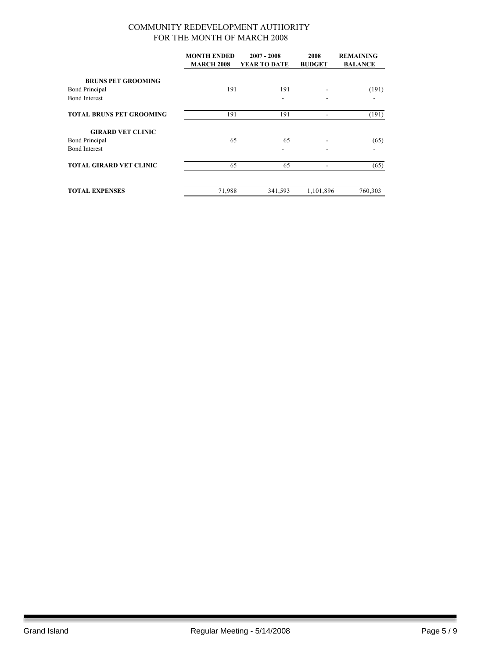|                                 | <b>MONTH ENDED</b><br><b>MARCH 2008</b> | $2007 - 2008$<br>YEAR TO DATE | 2008<br><b>BUDGET</b> | <b>REMAINING</b><br><b>BALANCE</b> |
|---------------------------------|-----------------------------------------|-------------------------------|-----------------------|------------------------------------|
| <b>BRUNS PET GROOMING</b>       |                                         |                               |                       |                                    |
| <b>Bond Principal</b>           | 191                                     | 191                           |                       | (191)                              |
| <b>Bond Interest</b>            |                                         |                               |                       |                                    |
| <b>TOTAL BRUNS PET GROOMING</b> | 191                                     | 191                           |                       | (191)                              |
| <b>GIRARD VET CLINIC</b>        |                                         |                               |                       |                                    |
| <b>Bond Principal</b>           | 65                                      | 65                            |                       | (65)                               |
| <b>Bond Interest</b>            |                                         |                               |                       |                                    |
| <b>TOTAL GIRARD VET CLINIC</b>  | 65                                      | 65                            |                       | (65)                               |
| <b>TOTAL EXPENSES</b>           | 71,988                                  | 341,593                       | 1,101,896             | 760,303                            |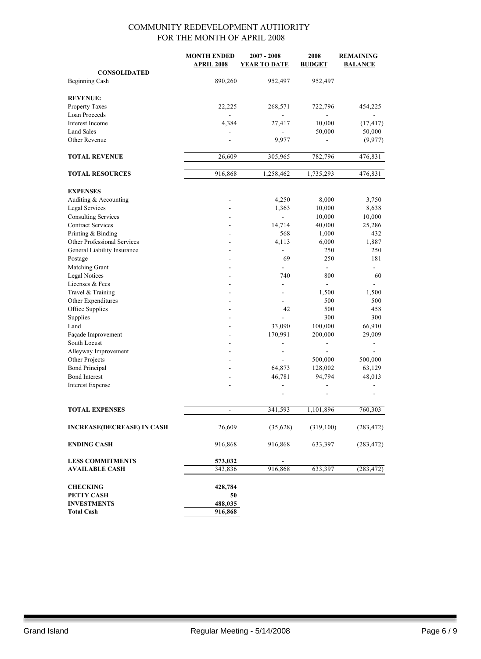|                                   | <b>MONTH ENDED</b> | $2007 - 2008$            | 2008                     | <b>REMAINING</b> |
|-----------------------------------|--------------------|--------------------------|--------------------------|------------------|
|                                   | <b>APRIL 2008</b>  | <b>YEAR TO DATE</b>      | <b>BUDGET</b>            | <b>BALANCE</b>   |
| <b>CONSOLIDATED</b>               |                    |                          |                          |                  |
| <b>Beginning Cash</b>             | 890,260            | 952,497                  | 952,497                  |                  |
|                                   |                    |                          |                          |                  |
| <b>REVENUE:</b>                   |                    |                          |                          |                  |
| Property Taxes                    | 22,225             | 268,571                  | 722,796                  | 454,225          |
| Loan Proceeds                     |                    |                          |                          |                  |
| Interest Income                   | 4,384              | 27,417                   | 10,000                   | (17, 417)        |
| <b>Land Sales</b>                 |                    |                          | 50,000                   | 50,000           |
| Other Revenue                     |                    | 9,977                    |                          | (9, 977)         |
| <b>TOTAL REVENUE</b>              | 26,609             | 305,965                  | 782,796                  | 476,831          |
| <b>TOTAL RESOURCES</b>            | 916,868            | 1,258,462                | 1,735,293                | 476,831          |
|                                   |                    |                          |                          |                  |
| <b>EXPENSES</b>                   |                    |                          |                          |                  |
| Auditing & Accounting             |                    | 4,250                    | 8,000                    | 3,750            |
| <b>Legal Services</b>             |                    | 1,363                    | 10,000                   | 8,638            |
| <b>Consulting Services</b>        |                    | $\blacksquare$           | 10,000                   | 10,000           |
| <b>Contract Services</b>          |                    | 14,714                   | 40,000                   | 25,286           |
| Printing & Binding                |                    | 568                      | 1,000                    | 432              |
| Other Professional Services       |                    | 4,113                    | 6,000                    | 1,887            |
| General Liability Insurance       |                    |                          | 250                      | 250              |
| Postage                           |                    | 69                       | 250                      | 181              |
| Matching Grant                    |                    |                          | $\blacksquare$           | ÷.               |
| <b>Legal Notices</b>              |                    | 740                      | 800                      | 60               |
| Licenses & Fees                   |                    |                          |                          |                  |
| Travel & Training                 |                    | $\overline{a}$           | 1,500                    | 1,500            |
| Other Expenditures                |                    |                          | 500                      | 500              |
| Office Supplies                   |                    | 42                       | 500                      | 458              |
| Supplies                          |                    |                          | 300                      | 300              |
| Land                              |                    | 33,090                   | 100,000                  | 66,910           |
| Façade Improvement                |                    | 170,991                  | 200,000                  | 29,009           |
| South Locust                      |                    | $\overline{\phantom{a}}$ | $\overline{\phantom{a}}$ |                  |
| Alleyway Improvement              | ÷                  | $\overline{\phantom{a}}$ | $\blacksquare$           |                  |
| Other Projects                    |                    |                          | 500,000                  | 500,000          |
| <b>Bond Principal</b>             |                    | 64,873                   | 128,002                  | 63,129           |
| <b>Bond Interest</b>              |                    | 46,781                   | 94,794                   | 48,013           |
| <b>Interest Expense</b>           |                    |                          |                          |                  |
|                                   |                    | ٠                        | $\overline{a}$           |                  |
| <b>TOTAL EXPENSES</b>             |                    | 341,593                  | 1,101,896                | 760,303          |
| <b>INCREASE(DECREASE) IN CASH</b> | 26,609             | (35,628)                 | (319,100)                | (283, 472)       |
| <b>ENDING CASH</b>                | 916,868            | 916,868                  | 633,397                  | (283, 472)       |
| <b>LESS COMMITMENTS</b>           | 573,032            |                          |                          |                  |
| <b>AVAILABLE CASH</b>             | 343,836            | 916,868                  | 633,397                  | (283, 472)       |
|                                   |                    |                          |                          |                  |
| <b>CHECKING</b>                   | 428,784            |                          |                          |                  |
| PETTY CASH                        | 50                 |                          |                          |                  |
| <b>INVESTMENTS</b>                | 488,035            |                          |                          |                  |
| <b>Total Cash</b>                 | 916,868            |                          |                          |                  |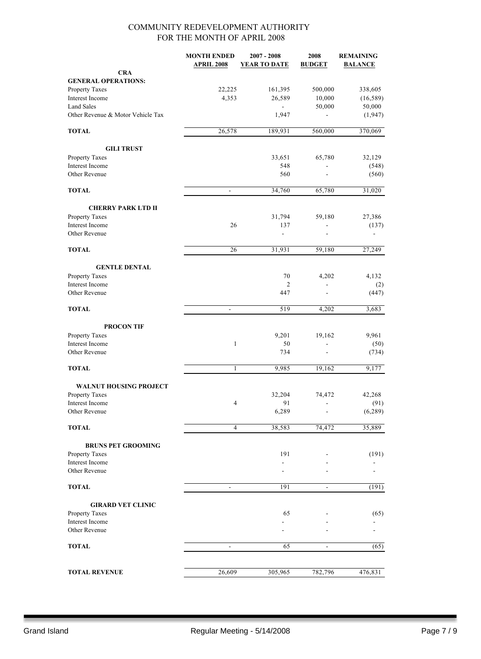|                                   | <b>MONTH ENDED</b><br><b>APRIL 2008</b> | $2007 - 2008$<br><b>YEAR TO DATE</b> | 2008<br><b>BUDGET</b>    | <b>REMAINING</b><br><b>BALANCE</b> |
|-----------------------------------|-----------------------------------------|--------------------------------------|--------------------------|------------------------------------|
| <b>CRA</b>                        |                                         |                                      |                          |                                    |
| <b>GENERAL OPERATIONS:</b>        |                                         |                                      |                          |                                    |
| Property Taxes                    | 22,225                                  | 161,395                              | 500,000                  | 338,605                            |
| Interest Income                   | 4,353                                   | 26,589                               | 10,000                   | (16, 589)                          |
| <b>Land Sales</b>                 |                                         |                                      | 50,000                   | 50,000                             |
| Other Revenue & Motor Vehicle Tax |                                         | 1,947                                |                          | (1, 947)                           |
| <b>TOTAL</b>                      | 26,578                                  | 189,931                              | 560,000                  | 370,069                            |
| <b>GILI TRUST</b>                 |                                         |                                      |                          |                                    |
| Property Taxes                    |                                         | 33,651                               | 65,780                   | 32,129                             |
| Interest Income                   |                                         | 548                                  |                          | (548)                              |
| Other Revenue                     |                                         | 560                                  |                          | (560)                              |
| <b>TOTAL</b>                      | $\blacksquare$                          | 34,760                               | 65,780                   | 31,020                             |
| <b>CHERRY PARK LTD II</b>         |                                         |                                      |                          |                                    |
| Property Taxes                    |                                         | 31,794                               | 59,180                   | 27,386                             |
| Interest Income                   | 26                                      | 137                                  | $\frac{1}{2}$            | (137)                              |
| Other Revenue                     |                                         | $\overline{a}$                       |                          | $\overline{\phantom{a}}$           |
| <b>TOTAL</b>                      | 26                                      | 31,931                               | 59,180                   | 27,249                             |
| <b>GENTLE DENTAL</b>              |                                         |                                      |                          |                                    |
| Property Taxes                    |                                         | 70                                   | 4,202                    | 4,132                              |
| Interest Income                   |                                         | 2                                    |                          | (2)                                |
| Other Revenue                     |                                         | 447                                  |                          | (447)                              |
| <b>TOTAL</b>                      | $\blacksquare$                          | 519                                  | 4,202                    | 3,683                              |
| <b>PROCON TIF</b>                 |                                         |                                      |                          |                                    |
| Property Taxes                    |                                         | 9,201                                | 19,162                   | 9,961                              |
| Interest Income                   | $\mathbf{1}$                            | 50                                   |                          | (50)                               |
| Other Revenue                     |                                         | 734                                  | $\overline{\phantom{a}}$ | (734)                              |
| <b>TOTAL</b>                      | 1                                       | 9,985                                | 19,162                   | 9,177                              |
| <b>WALNUT HOUSING PROJECT</b>     |                                         |                                      |                          |                                    |
| Property Taxes                    |                                         | 32,204                               | 74,472                   | 42,268                             |
| Interest Income                   | 4                                       | 91                                   | ۰                        | (91)                               |
| Other Revenue                     |                                         | 6,289                                |                          | (6, 289)                           |
| <b>TOTAL</b>                      | $\overline{4}$                          | 38,583                               | 74,472                   | 35,889                             |
| <b>BRUNS PET GROOMING</b>         |                                         |                                      |                          |                                    |
| Property Taxes                    |                                         | 191                                  |                          | (191)                              |
| Interest Income                   |                                         |                                      |                          |                                    |
| Other Revenue                     |                                         |                                      |                          |                                    |
| <b>TOTAL</b>                      | $\blacksquare$                          | 191                                  | $\blacksquare$           | (191)                              |
| <b>GIRARD VET CLINIC</b>          |                                         |                                      |                          |                                    |
| Property Taxes                    |                                         | 65                                   |                          | (65)                               |
| Interest Income                   |                                         |                                      |                          |                                    |
| Other Revenue                     |                                         |                                      |                          |                                    |
| <b>TOTAL</b>                      |                                         | 65                                   |                          | (65)                               |
|                                   |                                         |                                      |                          |                                    |
| <b>TOTAL REVENUE</b>              | 26,609                                  | 305,965                              | 782,796                  | 476,831                            |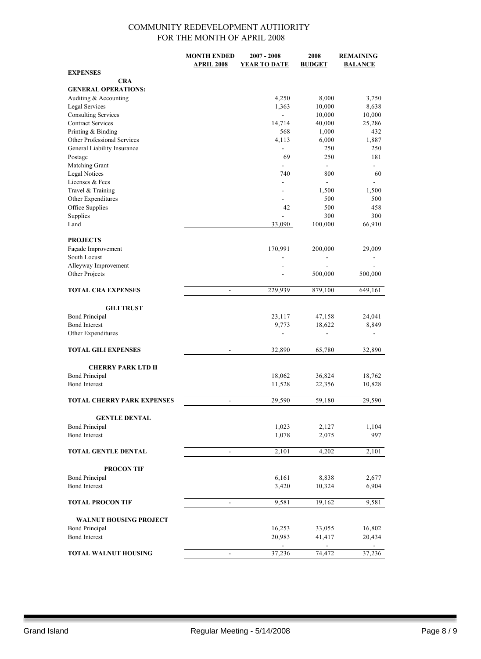|                               | <b>MONTH ENDED</b>           | 2007 - 2008         | 2008                     | <b>REMAINING</b>         |
|-------------------------------|------------------------------|---------------------|--------------------------|--------------------------|
|                               | <b>APRIL 2008</b>            | <b>YEAR TO DATE</b> | <b>BUDGET</b>            | <b>BALANCE</b>           |
| <b>EXPENSES</b>               |                              |                     |                          |                          |
| <b>CRA</b>                    |                              |                     |                          |                          |
| <b>GENERAL OPERATIONS:</b>    |                              |                     |                          |                          |
| Auditing & Accounting         |                              | 4,250               | 8,000                    | 3,750                    |
| <b>Legal Services</b>         |                              | 1,363               | 10,000                   | 8,638                    |
| <b>Consulting Services</b>    |                              | $\blacksquare$      | 10,000                   | 10,000                   |
| <b>Contract Services</b>      |                              | 14,714              | 40,000                   | 25,286                   |
| Printing & Binding            |                              | 568                 | 1,000                    | 432                      |
| Other Professional Services   |                              | 4,113               | 6,000                    | 1,887                    |
| General Liability Insurance   |                              |                     | 250                      | 250                      |
| Postage                       |                              | 69                  | 250                      | 181                      |
| Matching Grant                |                              |                     | $\overline{\phantom{0}}$ |                          |
| <b>Legal Notices</b>          |                              | 740                 | 800                      | 60                       |
| Licenses & Fees               |                              | $\overline{a}$      | ÷,                       |                          |
|                               |                              |                     |                          |                          |
| Travel & Training             |                              | $\overline{a}$      | 1,500                    | 1,500                    |
| Other Expenditures            |                              |                     | 500                      | 500                      |
| Office Supplies               |                              | 42                  | 500                      | 458                      |
| Supplies                      |                              |                     | 300                      | 300                      |
| Land                          |                              | 33,090              | 100,000                  | 66,910                   |
|                               |                              |                     |                          |                          |
| <b>PROJECTS</b>               |                              |                     |                          |                          |
| Façade Improvement            |                              | 170,991             | 200,000                  | 29,009                   |
| South Locust                  |                              |                     |                          |                          |
| Alleyway Improvement          |                              |                     |                          |                          |
| Other Projects                |                              |                     | 500,000                  | 500,000                  |
|                               |                              |                     |                          |                          |
| <b>TOTAL CRA EXPENSES</b>     | $\overline{\phantom{a}}$     | 229,939             | 879,100                  | 649,161                  |
|                               |                              |                     |                          |                          |
| <b>GILI TRUST</b>             |                              |                     |                          |                          |
| <b>Bond Principal</b>         |                              | 23,117              | 47,158                   | 24,041                   |
| <b>Bond Interest</b>          |                              | 9,773               | 18,622                   | 8,849                    |
| Other Expenditures            |                              | ä,                  | ÷.                       | $\overline{\phantom{a}}$ |
|                               |                              |                     |                          |                          |
| <b>TOTAL GILI EXPENSES</b>    | $\blacksquare$               | 32,890              | 65,780                   | 32,890                   |
|                               |                              |                     |                          |                          |
| <b>CHERRY PARK LTD II</b>     |                              |                     |                          |                          |
| <b>Bond Principal</b>         |                              | 18,062              | 36,824                   | 18,762                   |
| <b>Bond Interest</b>          |                              | 11,528              | 22,356                   | 10,828                   |
|                               |                              |                     |                          |                          |
| TOTAL CHERRY PARK EXPENSES    | $\blacksquare$               | 29,590              | 59,180                   | 29,590                   |
|                               |                              |                     |                          |                          |
| <b>GENTLE DENTAL</b>          |                              |                     |                          |                          |
| <b>Bond Principal</b>         |                              | 1,023               | 2,127                    | 1,104                    |
| <b>Bond Interest</b>          |                              | 1,078               | 2,075                    | 997                      |
|                               |                              |                     |                          |                          |
| <b>TOTAL GENTLE DENTAL</b>    | $\overline{\phantom{a}}$     | 2,101               | 4,202                    | 2,101                    |
|                               |                              |                     |                          |                          |
|                               |                              |                     |                          |                          |
| <b>PROCON TIF</b>             |                              |                     |                          |                          |
| <b>Bond Principal</b>         |                              | 6,161               | 8,838                    | 2,677                    |
| <b>Bond Interest</b>          |                              | 3,420               | 10,324                   | 6,904                    |
|                               |                              |                     |                          |                          |
| <b>TOTAL PROCON TIF</b>       | $\qquad \qquad \blacksquare$ | 9,581               | 19,162                   | 9,581                    |
|                               |                              |                     |                          |                          |
| <b>WALNUT HOUSING PROJECT</b> |                              |                     |                          |                          |
| <b>Bond Principal</b>         |                              | 16,253              | 33,055                   | 16,802                   |
| <b>Bond Interest</b>          |                              | 20,983              | 41,417                   | 20,434                   |
|                               |                              |                     |                          |                          |
| <b>TOTAL WALNUT HOUSING</b>   | $\overline{\phantom{a}}$     | 37,236              | 74,472                   | 37,236                   |